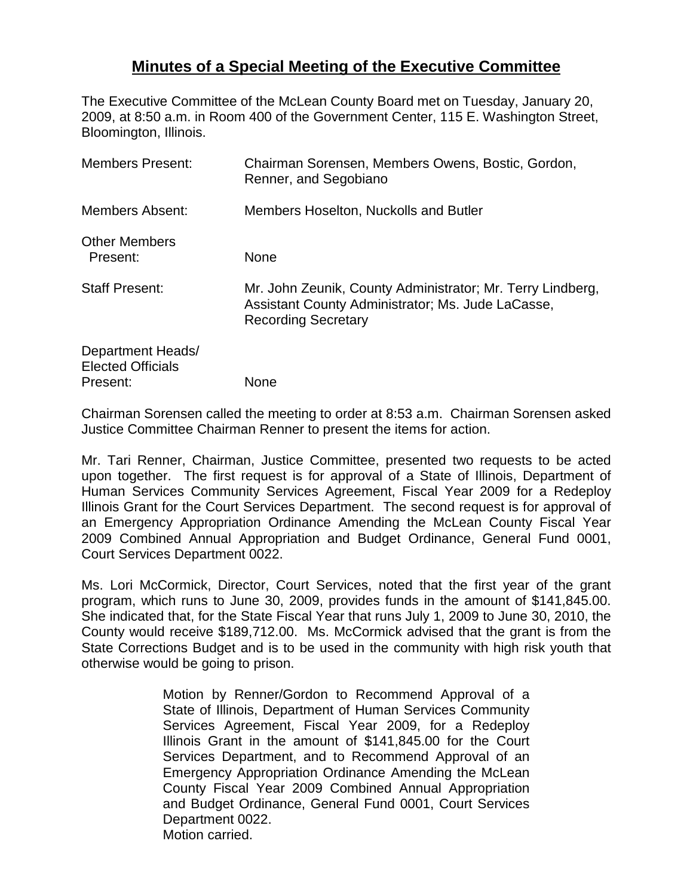## **Minutes of a Special Meeting of the Executive Committee**

The Executive Committee of the McLean County Board met on Tuesday, January 20, 2009, at 8:50 a.m. in Room 400 of the Government Center, 115 E. Washington Street, Bloomington, Illinois.

| <b>Members Present:</b>                                   | Chairman Sorensen, Members Owens, Bostic, Gordon,<br>Renner, and Segobiano                                                                    |
|-----------------------------------------------------------|-----------------------------------------------------------------------------------------------------------------------------------------------|
| Members Absent:                                           | Members Hoselton, Nuckolls and Butler                                                                                                         |
| <b>Other Members</b><br>Present:                          | <b>None</b>                                                                                                                                   |
| <b>Staff Present:</b>                                     | Mr. John Zeunik, County Administrator; Mr. Terry Lindberg,<br>Assistant County Administrator; Ms. Jude LaCasse,<br><b>Recording Secretary</b> |
| Department Heads/<br><b>Elected Officials</b><br>Present: | None                                                                                                                                          |

Chairman Sorensen called the meeting to order at 8:53 a.m. Chairman Sorensen asked Justice Committee Chairman Renner to present the items for action.

Mr. Tari Renner, Chairman, Justice Committee, presented two requests to be acted upon together. The first request is for approval of a State of Illinois, Department of Human Services Community Services Agreement, Fiscal Year 2009 for a Redeploy Illinois Grant for the Court Services Department. The second request is for approval of an Emergency Appropriation Ordinance Amending the McLean County Fiscal Year 2009 Combined Annual Appropriation and Budget Ordinance, General Fund 0001, Court Services Department 0022.

Ms. Lori McCormick, Director, Court Services, noted that the first year of the grant program, which runs to June 30, 2009, provides funds in the amount of \$141,845.00. She indicated that, for the State Fiscal Year that runs July 1, 2009 to June 30, 2010, the County would receive \$189,712.00. Ms. McCormick advised that the grant is from the State Corrections Budget and is to be used in the community with high risk youth that otherwise would be going to prison.

> Motion by Renner/Gordon to Recommend Approval of a State of Illinois, Department of Human Services Community Services Agreement, Fiscal Year 2009, for a Redeploy Illinois Grant in the amount of \$141,845.00 for the Court Services Department, and to Recommend Approval of an Emergency Appropriation Ordinance Amending the McLean County Fiscal Year 2009 Combined Annual Appropriation and Budget Ordinance, General Fund 0001, Court Services Department 0022. Motion carried.